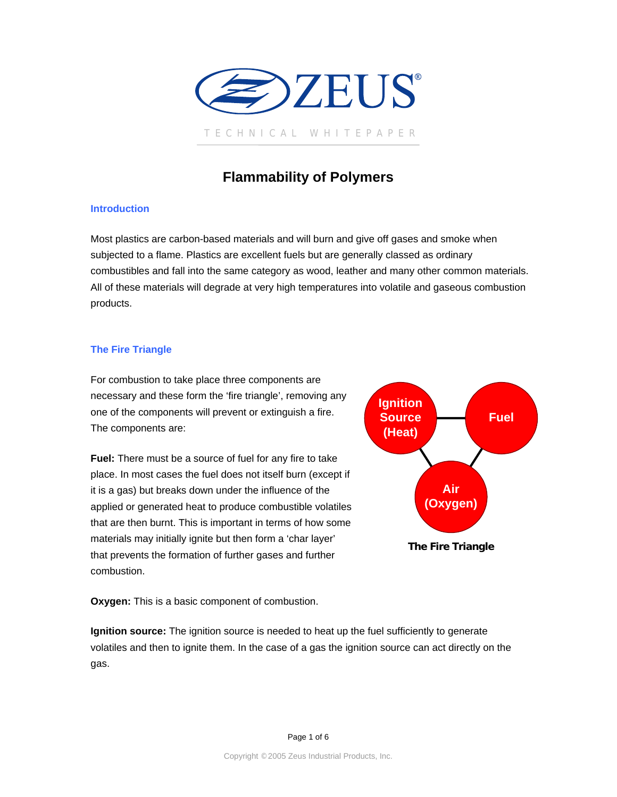

**Flammability of Polymers** 

### **Introduction**

Most plastics are carbon-based materials and will burn and give off gases and smoke when subjected to a flame. Plastics are excellent fuels but are generally classed as ordinary combustibles and fall into the same category as wood, leather and many other common materials. All of these materials will degrade at very high temperatures into volatile and gaseous combustion products.

### **The Fire Triangle**

For combustion to take place three components are necessary and these form the 'fire triangle', removing any one of the components will prevent or extinguish a fire. The components are:

**Fuel:** There must be a source of fuel for any fire to take place. In most cases the fuel does not itself burn (except if it is a gas) but breaks down under the influence of the applied or generated heat to produce combustible volatiles that are then burnt. This is important in terms of how some materials may initially ignite but then form a 'char layer' that prevents the formation of further gases and further combustion.



**Oxygen:** This is a basic component of combustion.

**Ignition source:** The ignition source is needed to heat up the fuel sufficiently to generate volatiles and then to ignite them. In the case of a gas the ignition source can act directly on the gas.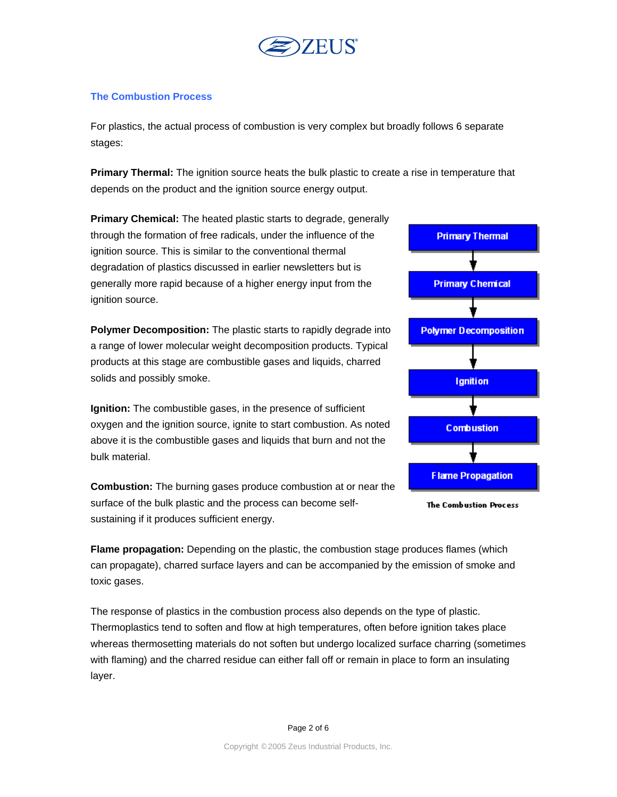

#### **The Combustion Process**

For plastics, the actual process of combustion is very complex but broadly follows 6 separate stages:

**Primary Thermal:** The ignition source heats the bulk plastic to create a rise in temperature that depends on the product and the ignition source energy output.

**Primary Chemical:** The heated plastic starts to degrade, generally through the formation of free radicals, under the influence of the ignition source. This is similar to the conventional thermal degradation of plastics discussed in earlier newsletters but is generally more rapid because of a higher energy input from the ignition source.

**Polymer Decomposition:** The plastic starts to rapidly degrade into a range of lower molecular weight decomposition products. Typical products at this stage are combustible gases and liquids, charred solids and possibly smoke.

**Ignition:** The combustible gases, in the presence of sufficient oxygen and the ignition source, ignite to start combustion. As noted above it is the combustible gases and liquids that burn and not the bulk material.

**Combustion:** The burning gases produce combustion at or near the



surface of the bulk plastic and the process can become self-**The Combustion Process** sustaining if it produces sufficient energy.

**Flame propagation:** Depending on the plastic, the combustion stage produces flames (which can propagate), charred surface layers and can be accompanied by the emission of smoke and toxic gases.

The response of plastics in the combustion process also depends on the type of plastic. Thermoplastics tend to soften and flow at high temperatures, often before ignition takes place whereas thermosetting materials do not soften but undergo localized surface charring (sometimes with flaming) and the charred residue can either fall off or remain in place to form an insulating layer.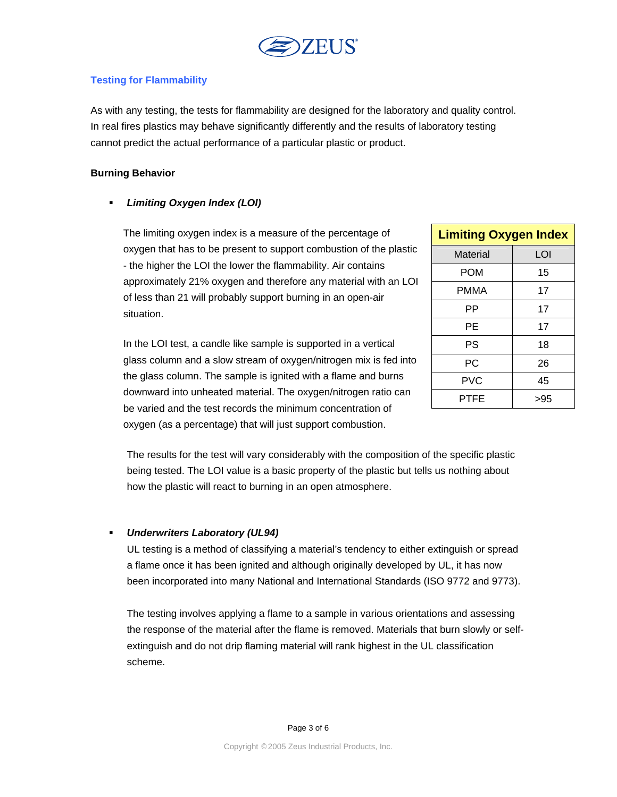

# **Testing for Flammability**

As with any testing, the tests for flammability are designed for the laboratory and quality control. In real fires plastics may behave significantly differently and the results of laboratory testing cannot predict the actual performance of a particular plastic or product.

### **Burning Behavior**

# *Limiting Oxygen Index (LOI)*

The limiting oxygen index is a measure of the percentage of oxygen that has to be present to support combustion of the plastic - the higher the LOI the lower the flammability. Air contains approximately 21% oxygen and therefore any material with an LOI of less than 21 will probably support burning in an open-air situation.

In the LOI test, a candle like sample is supported in a vertical glass column and a slow stream of oxygen/nitrogen mix is fed into the glass column. The sample is ignited with a flame and burns downward into unheated material. The oxygen/nitrogen ratio can be varied and the test records the minimum concentration of oxygen (as a percentage) that will just support combustion.

| <b>Limiting Oxygen Index</b> |     |  |  |
|------------------------------|-----|--|--|
| Material                     | LOI |  |  |
| POM                          | 15  |  |  |
| PMMA                         | 17  |  |  |
| ΡP                           | 17  |  |  |
| PE                           | 17  |  |  |
| PS                           | 18  |  |  |
| РC                           | 26  |  |  |
| <b>PVC</b>                   | 45  |  |  |
| PTFE                         | >95 |  |  |

The results for the test will vary considerably with the composition of the specific plastic being tested. The LOI value is a basic property of the plastic but tells us nothing about how the plastic will react to burning in an open atmosphere.

### *Underwriters Laboratory (UL94)*

UL testing is a method of classifying a material's tendency to either extinguish or spread a flame once it has been ignited and although originally developed by UL, it has now been incorporated into many National and International Standards (ISO 9772 and 9773).

The testing involves applying a flame to a sample in various orientations and assessing the response of the material after the flame is removed. Materials that burn slowly or selfextinguish and do not drip flaming material will rank highest in the UL classification scheme.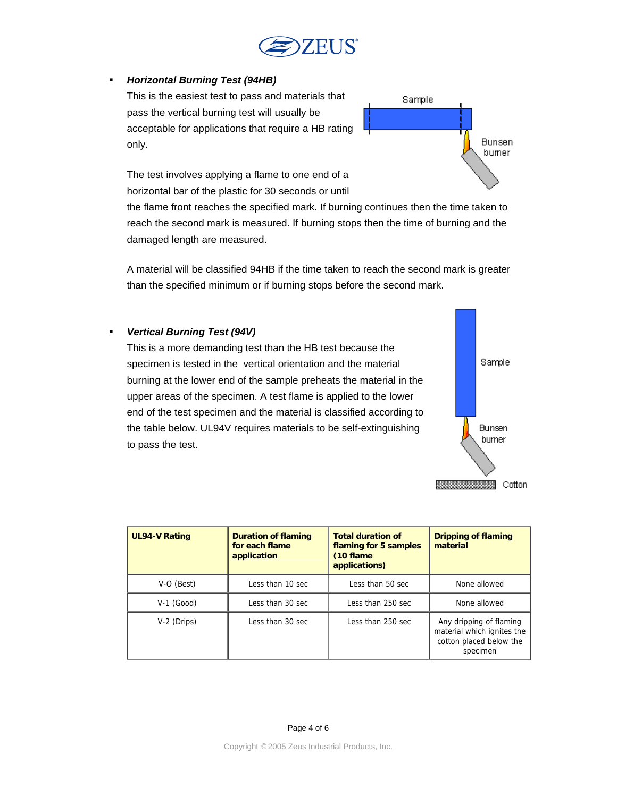

## *Horizontal Burning Test (94HB)*

acceptable for applications that require a HB rating This is the easiest test to pass and materials that pass the vertical burning test will usually be only.



The test involves applying a flame to one end of a horizontal bar of the plastic for 30 seconds or until

the flame front reaches the specified mark. If burning continues then the time taken to reach the second mark is measured. If burning stops then the time of burning and the damaged length are measured.

A material will be classified 94HB if the time taken to reach the second mark is greater than the specified minimum or if burning stops before the second mark.

# *Vertical Burning Test (94V)*

This is a more demanding test than the HB test because the specimen is tested in the vertical orientation and the material burning at the lower end of the sample preheats the material in the upper areas of the specimen. A test flame is applied to the lower end of the test specimen and the material is classified according to the table below. UL94V requires materials to be self-extinguishing to pass the test.

| <b>UL94-V Rating</b> | <b>Duration of flaming</b><br>for each flame<br>application | <b>Total duration of</b><br>flaming for 5 samples<br>(10 flame)<br>applications) | <b>Dripping of flaming</b><br>material                                                       |
|----------------------|-------------------------------------------------------------|----------------------------------------------------------------------------------|----------------------------------------------------------------------------------------------|
| V-O (Best)           | Less than 10 sec                                            | Less than 50 sec                                                                 | None allowed                                                                                 |
| $V-1$ (Good)         | Less than 30 sec                                            | Less than 250 sec                                                                | None allowed                                                                                 |
| $V-2$ (Drips)        | Less than 30 sec                                            | Less than 250 sec                                                                | Any dripping of flaming<br>material which ignites the<br>cotton placed below the<br>specimen |



Copyright ©2005 Zeus Industrial Products, Inc.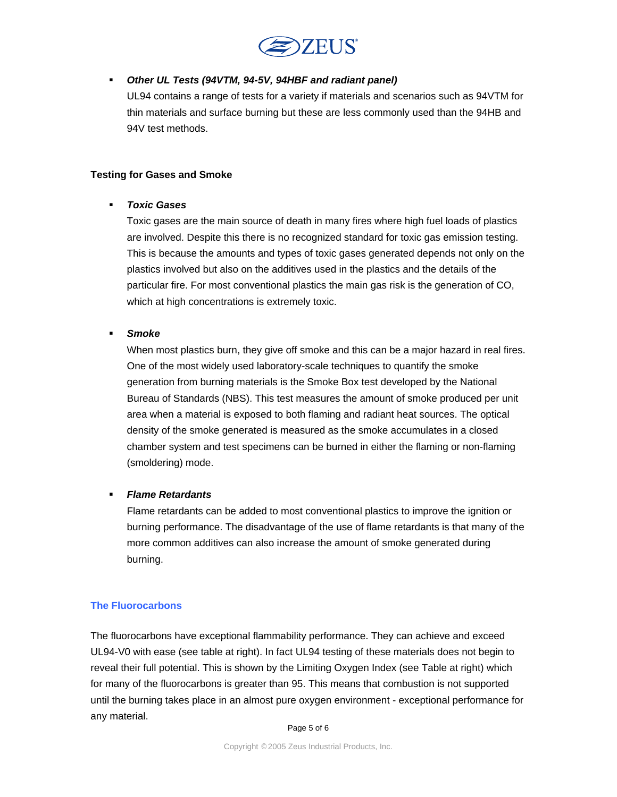

## *Other UL Tests (94VTM, 94-5V, 94HBF and radiant panel)*

UL94 contains a range of tests for a variety if materials and scenarios such as 94VTM for thin materials and surface burning but these are less commonly used than the 94HB and 94V test methods.

### **Testing for Gases and Smoke**

### *Toxic Gases*

Toxic gases are the main source of death in many fires where high fuel loads of plastics are involved. Despite this there is no recognized standard for toxic gas emission testing. This is because the amounts and types of toxic gases generated depends not only on the plastics involved but also on the additives used in the plastics and the details of the particular fire. For most conventional plastics the main gas risk is the generation of CO, which at high concentrations is extremely toxic.

### *Smoke*

When most plastics burn, they give off smoke and this can be a major hazard in real fires. One of the most widely used laboratory-scale techniques to quantify the smoke generation from burning materials is the Smoke Box test developed by the National Bureau of Standards (NBS). This test measures the amount of smoke produced per unit area when a material is exposed to both flaming and radiant heat sources. The optical density of the smoke generated is measured as the smoke accumulates in a closed chamber system and test specimens can be burned in either the flaming or non-flaming (smoldering) mode.

### *Flame Retardants*

Flame retardants can be added to most conventional plastics to improve the ignition or burning performance. The disadvantage of the use of flame retardants is that many of the more common additives can also increase the amount of smoke generated during burning.

### **The Fluorocarbons**

The fluorocarbons have exceptional flammability performance. They can achieve and exceed UL94-V0 with ease (see table at right). In fact UL94 testing of these materials does not begin to reveal their full potential. This is shown by the Limiting Oxygen Index (see Table at right) which for many of the fluorocarbons is greater than 95. This means that combustion is not supported until the burning takes place in an almost pure oxygen environment - exceptional performance for any material.